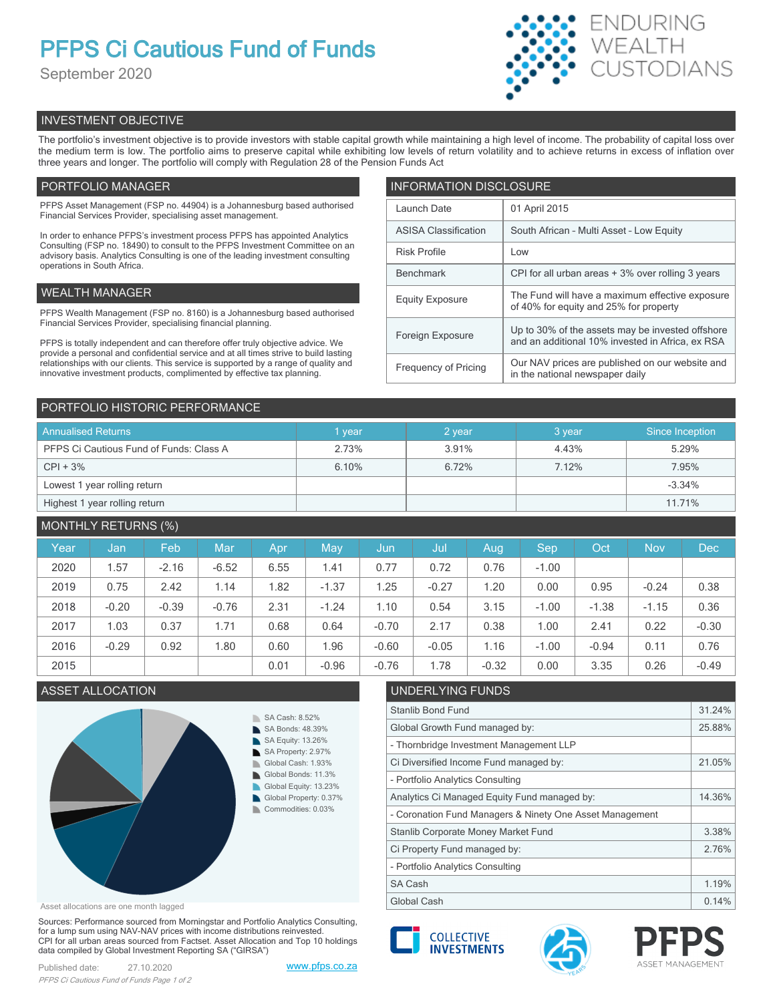# **PFPS Ci Cautious Fund of Funds**

September 2020



# INVESTMENT OBJECTIVE

The portfolio's investment objective is to provide investors with stable capital growth while maintaining a high level of income. The probability of capital loss over the medium term is low. The portfolio aims to preserve capital while exhibiting low levels of return volatility and to achieve returns in excess of inflation over three years and longer. The portfolio will comply with Regulation 28 of the Pension Funds Act

# PORTFOLIO MANAGER

PFPS Asset Management (FSP no. 44904) is a Johannesburg based authorised Financial Services Provider, specialising asset management.

In order to enhance PFPS's investment process PFPS has appointed Analytics Consulting (FSP no. 18490) to consult to the PFPS Investment Committee on an advisory basis. Analytics Consulting is one of the leading investment consulting operations in South Africa.

## WEALTH MANAGER

PFPS Wealth Management (FSP no. 8160) is a Johannesburg based authorised Financial Services Provider, specialising financial planning.

PFPS is totally independent and can therefore offer truly objective advice. We provide a personal and confidential service and at all times strive to build lasting relationships with our clients. This service is supported by a range of quality and innovative investment products, complimented by effective tax planning.

| <b>INFORMATION DISCLOSURE</b> |                                                                                                      |  |  |  |
|-------------------------------|------------------------------------------------------------------------------------------------------|--|--|--|
| Launch Date                   | 01 April 2015                                                                                        |  |  |  |
| <b>ASISA Classification</b>   | South African - Multi Asset - Low Equity                                                             |  |  |  |
| <b>Risk Profile</b>           | Low                                                                                                  |  |  |  |
| <b>Benchmark</b>              | CPI for all urban areas + 3% over rolling 3 years                                                    |  |  |  |
| <b>Equity Exposure</b>        | The Fund will have a maximum effective exposure<br>of 40% for equity and 25% for property            |  |  |  |
| Foreign Exposure              | Up to 30% of the assets may be invested offshore<br>and an additional 10% invested in Africa, ex RSA |  |  |  |
| <b>Frequency of Pricing</b>   | Our NAV prices are published on our website and<br>in the national newspaper daily                   |  |  |  |

### PORTFOLIO HISTORIC PERFORMANCE

| <b>Annualised Returns</b>               | 1 year | 2 year | 3 year | Since Inception |
|-----------------------------------------|--------|--------|--------|-----------------|
| PFPS Ci Cautious Fund of Funds: Class A | 2.73%  | 3.91%  | 4.43%  | 5.29%           |
| $CPI + 3%$                              | 6.10%  | 6.72%  | 7.12%  | 7.95%           |
| Lowest 1 year rolling return            |        |        |        | $-3.34%$        |
| Highest 1 year rolling return           |        |        |        | 11.71%          |

# MONTHLY RETURNS (%)

| Year | Jan     | Feb     | <b>Mar</b> | Apr  | May        | Jun     | Jul     | Aug     | Sep     | Oct     | <b>Nov</b> | <b>Dec</b> |
|------|---------|---------|------------|------|------------|---------|---------|---------|---------|---------|------------|------------|
| 2020 | 1.57    | $-2.16$ | $-6.52$    | 6.55 | 1.41       | 0.77    | 0.72    | 0.76    | $-1.00$ |         |            |            |
| 2019 | 0.75    | 2.42    | 1.14       | 1.82 | $-1.37$    | 1.25    | $-0.27$ | 1.20    | 0.00    | 0.95    | $-0.24$    | 0.38       |
| 2018 | $-0.20$ | $-0.39$ | $-0.76$    | 2.31 | $-1.24$    | 1.10    | 0.54    | 3.15    | $-1.00$ | $-1.38$ | $-1.15$    | 0.36       |
| 2017 | 1.03    | 0.37    | 1.71       | 0.68 | 0.64       | $-0.70$ | 2.17    | 0.38    | 1.00    | 2.41    | 0.22       | $-0.30$    |
| 2016 | $-0.29$ | 0.92    | 1.80       | 0.60 | <b>96.</b> | $-0.60$ | $-0.05$ | 1.16    | $-1.00$ | $-0.94$ | 0.11       | 0.76       |
| 2015 |         |         |            | 0.01 | $-0.96$    | $-0.76$ | 1.78    | $-0.32$ | 0.00    | 3.35    | 0.26       | $-0.49$    |

# **ASSET ALLOCATION**



Asset allocations are one month lagged

Sources: Performance sourced from Morningstar and Portfolio Analytics Consulting, for a lump sum using NAV-NAV prices with income distributions reinvested. CPI for all urban areas sourced from Factset. Asset Allocation and Top 10 holdings data compiled by Global Investment Reporting SA ("GIRSA")

| <b>UNDERLING LUNDS</b>                                   |        |
|----------------------------------------------------------|--------|
| Stanlib Bond Fund                                        | 31.24% |
| Global Growth Fund managed by:                           | 25.88% |
| - Thornbridge Investment Management LLP                  |        |
| Ci Diversified Income Fund managed by:                   | 21.05% |
| - Portfolio Analytics Consulting                         |        |
| Analytics Ci Managed Equity Fund managed by:             | 14.36% |
| - Coronation Fund Managers & Ninety One Asset Management |        |
| Stanlib Corporate Money Market Fund                      | 3.38%  |
| Ci Property Fund managed by:                             | 2.76%  |
| - Portfolio Analytics Consulting                         |        |
| <b>SA Cash</b>                                           | 1.19%  |
| Global Cash                                              | 0.14%  |